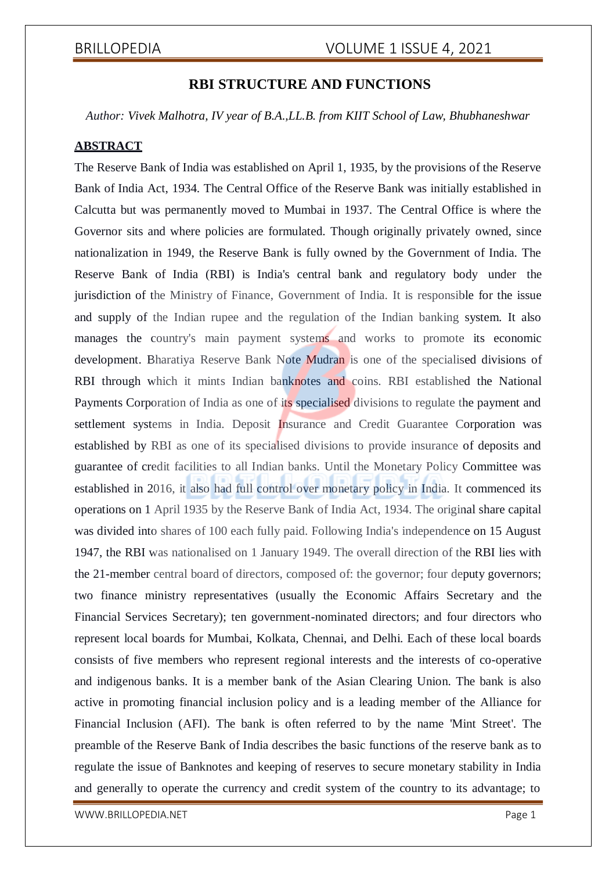## **RBI STRUCTURE AND FUNCTIONS**

*Author: Vivek Malhotra, IV year of B.A.,LL.B. from KIIT School of Law, Bhubhaneshwar*

### **ABSTRACT**

The Reserve Bank of India was established on April 1, 1935, by the provisions of the Reserve Bank of India Act, 1934. The Central Office of the Reserve Bank was initially established in Calcutta but was permanently moved to Mumbai in 1937. The Central Office is where the Governor sits and where policies are formulated. Though originally privately owned, since nationalization in 1949, the Reserve Bank is fully owned by the Government of India. The Reserve Bank of India (RBI) is India's central bank and regulatory body under the jurisdiction of the Ministry of Finance, Government of India. It is responsible for the issue and supply of the Indian rupee and the regulation of the Indian banking system. It also manages the country's main payment systems and works to promote its economic development. Bharatiya Reserve Bank Note Mudran is one of the specialised divisions of RBI through which it mints Indian banknotes and coins. RBI established the National Payments Corporation of India as one of its specialised divisions to regulate the payment and settlement systems in India. Deposit Insurance and Credit Guarantee Corporation was established by RBI as one of its specialised divisions to provide insurance of deposits and guarantee of credit facilities to all Indian banks. Until the Monetary Policy Committee was established in 2016, it also had full control over monetary policy in India. It commenced its operations on 1 April 1935 by the Reserve Bank of India Act, 1934. The original share capital was divided into shares of 100 each fully paid. Following India's independence on 15 August 1947, the RBI was nationalised on 1 January 1949. The overall direction of the RBI lies with the 21-member central board of directors, composed of: the governor; four deputy governors; two finance ministry representatives (usually the Economic Affairs Secretary and the Financial Services Secretary); ten government-nominated directors; and four directors who represent local boards for Mumbai, Kolkata, Chennai, and Delhi. Each of these local boards consists of five members who represent regional interests and the interests of co-operative and indigenous banks. It is a member bank of the Asian Clearing Union. The bank is also active in promoting financial inclusion policy and is a leading member of the Alliance for Financial Inclusion (AFI). The bank is often referred to by the name 'Mint Street'. The preamble of the Reserve Bank of India describes the basic functions of the reserve bank as to regulate the issue of Banknotes and keeping of reserves to secure monetary stability in India and generally to operate the currency and credit system of the country to its advantage; to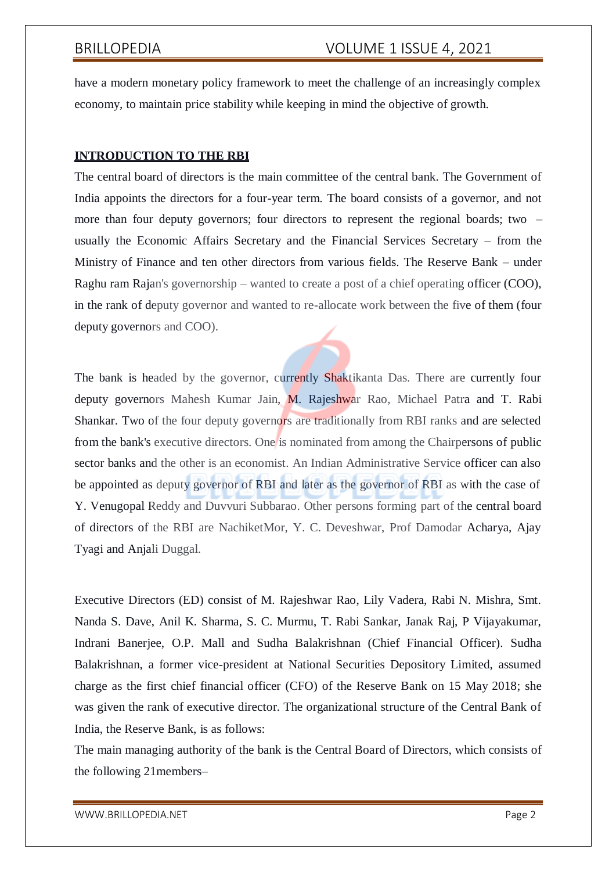have a modern monetary policy framework to meet the challenge of an increasingly complex economy, to maintain price stability while keeping in mind the objective of growth.

### **INTRODUCTION TO THE RBI**

The central board of directors is the main committee of the central bank. The Government of India appoints the directors for a four-year term. The board consists of a governor, and not more than four deputy governors; four directors to represent the regional boards; two – usually the Economic Affairs Secretary and the Financial Services Secretary – from the Ministry of Finance and ten other directors from various fields. The Reserve Bank – under Raghu ram Rajan's governorship – wanted to create a post of a chief operating officer (COO), in the rank of deputy governor and wanted to re-allocate work between the five of them (four deputy governors and COO).

The bank is headed by the governor, currently Shaktikanta Das. There are currently four deputy governors Mahesh Kumar Jain, M. Rajeshwar Rao, Michael Patra and T. Rabi Shankar. Two of the four deputy governors are traditionally from RBI ranks and are selected from the bank's executive directors. One is nominated from among the Chairpersons of public sector banks and the other is an economist. An Indian Administrative Service officer can also be appointed as deputy governor of RBI and later as the governor of RBI as with the case of Y. Venugopal Reddy and Duvvuri Subbarao. Other persons forming part of the central board of directors of the RBI are NachiketMor, Y. C. Deveshwar, Prof Damodar Acharya, Ajay Tyagi and Anjali Duggal.

Executive Directors (ED) consist of M. Rajeshwar Rao, Lily Vadera, Rabi N. Mishra, Smt. Nanda S. Dave, Anil K. Sharma, S. C. Murmu, T. Rabi Sankar, Janak Raj, P Vijayakumar, Indrani Banerjee, O.P. Mall and Sudha Balakrishnan (Chief Financial Officer). Sudha Balakrishnan, a former vice-president at National Securities Depository Limited, assumed charge as the first chief financial officer (CFO) of the Reserve Bank on 15 May 2018; she was given the rank of executive director. The organizational structure of the Central Bank of India, the Reserve Bank, is as follows:

The main managing authority of the bank is the Central Board of Directors, which consists of the following 21members–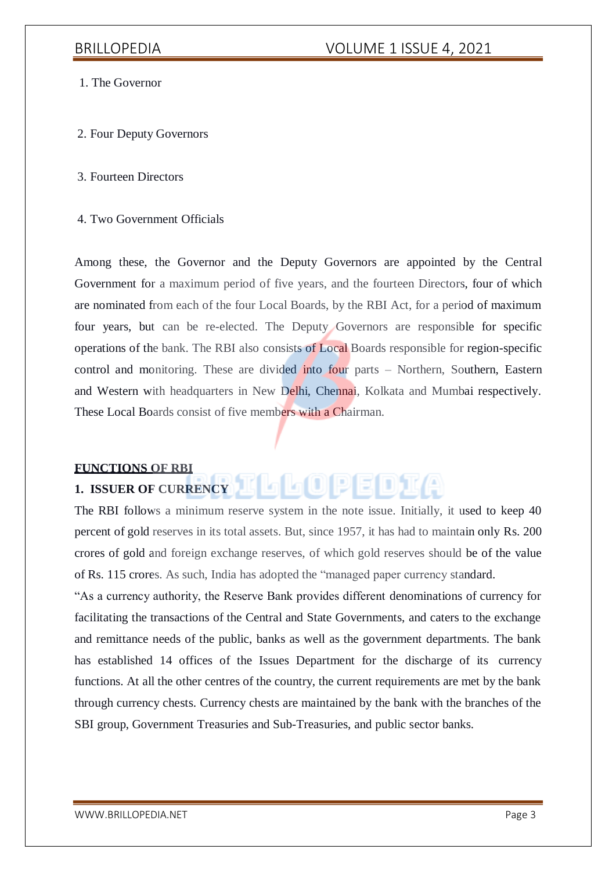- 1. The Governor
- 2. Four Deputy Governors
- 3. Fourteen Directors
- 4. Two Government Officials

Among these, the Governor and the Deputy Governors are appointed by the Central Government for a maximum period of five years, and the fourteen Directors, four of which are nominated from each of the four Local Boards, by the RBI Act, for a period of maximum four years, but can be re-elected. The Deputy Governors are responsible for specific operations of the bank. The RBI also consists of Local Boards responsible for region-specific control and monitoring. These are divided into four parts – Northern, Southern, Eastern and Western with headquarters in New Delhi, Chennai, Kolkata and Mumbai respectively. These Local Boards consist of five members with a Chairman.

### **FUNCTIONS OF RBI**

#### la Ol **1. ISSUER OF CURRENCY**

The RBI follows a minimum reserve system in the note issue. Initially, it used to keep 40 percent of gold reserves in its total assets. But, since 1957, it has had to maintain only Rs. 200 crores of gold and foreign exchange reserves, of which gold reserves should be of the value of Rs. 115 crores. As such, India has adopted the "managed paper currency standard.

"As a currency authority, the Reserve Bank provides different denominations of currency for facilitating the transactions of the Central and State Governments, and caters to the exchange and remittance needs of the public, banks as well as the government departments. The bank has established 14 offices of the Issues Department for the discharge of its currency functions. At all the other centres of the country, the current requirements are met by the bank through currency chests. Currency chests are maintained by the bank with the branches of the SBI group, Government Treasuries and Sub-Treasuries, and public sector banks.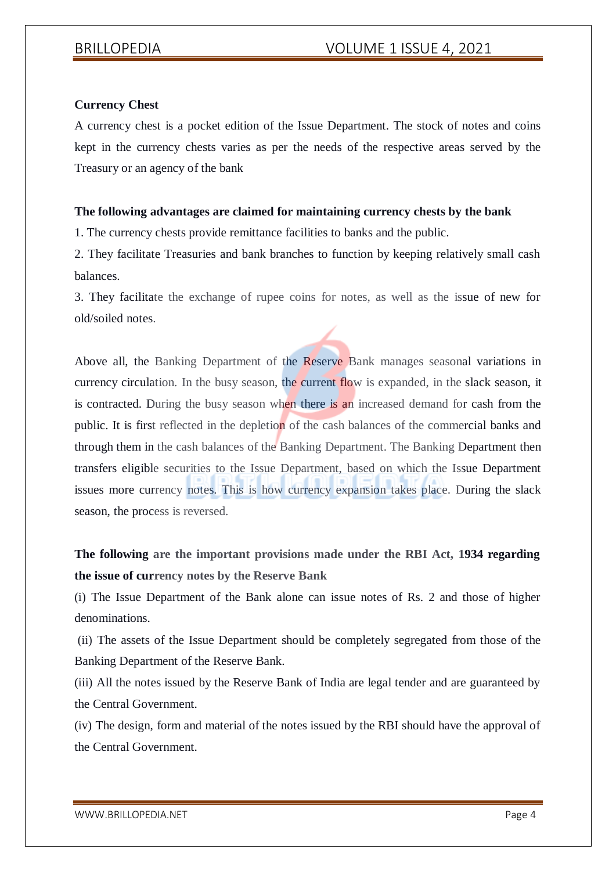### **Currency Chest**

A currency chest is a pocket edition of the Issue Department. The stock of notes and coins kept in the currency chests varies as per the needs of the respective areas served by the Treasury or an agency of the bank

### **The following advantages are claimed for maintaining currency chests by the bank**

1. The currency chests provide remittance facilities to banks and the public.

2. They facilitate Treasuries and bank branches to function by keeping relatively small cash balances.

3. They facilitate the exchange of rupee coins for notes, as well as the issue of new for old/soiled notes.

Above all, the Banking Department of the Reserve Bank manages seasonal variations in currency circulation. In the busy season, the current flow is expanded, in the slack season, it is contracted. During the busy season when there is an increased demand for cash from the public. It is first reflected in the depletion of the cash balances of the commercial banks and through them in the cash balances of the Banking Department. The Banking Department then transfers eligible securities to the Issue Department, based on which the Issue Department issues more currency notes. This is how currency expansion takes place. During the slack season, the process is reversed.

# **The following are the important provisions made under the RBI Act, 1934 regarding the issue of currency notes by the Reserve Bank**

(i) The Issue Department of the Bank alone can issue notes of Rs. 2 and those of higher denominations.

(ii) The assets of the Issue Department should be completely segregated from those of the Banking Department of the Reserve Bank.

(iii) All the notes issued by the Reserve Bank of India are legal tender and are guaranteed by the Central Government.

(iv) The design, form and material of the notes issued by the RBI should have the approval of the Central Government.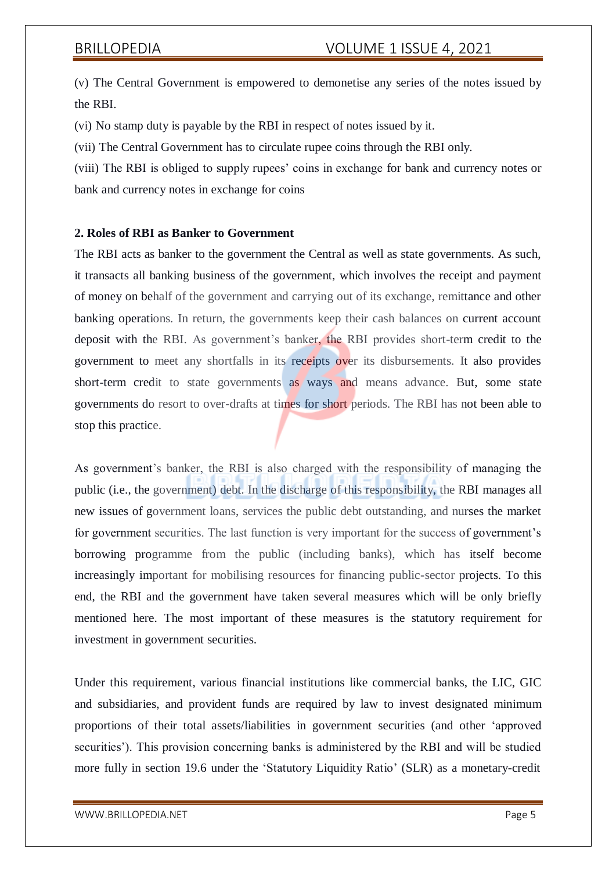(v) The Central Government is empowered to demonetise any series of the notes issued by the RBI.

(vi) No stamp duty is payable by the RBI in respect of notes issued by it.

(vii) The Central Government has to circulate rupee coins through the RBI only.

(viii) The RBI is obliged to supply rupees' coins in exchange for bank and currency notes or bank and currency notes in exchange for coins

#### **2. Roles of RBI as Banker to Government**

The RBI acts as banker to the government the Central as well as state governments. As such, it transacts all banking business of the government, which involves the receipt and payment of money on behalf of the government and carrying out of its exchange, remittance and other banking operations. In return, the governments keep their cash balances on current account deposit with the RBI. As government's banker, the RBI provides short-term credit to the government to meet any shortfalls in its receipts over its disbursements. It also provides short-term credit to state governments as ways and means advance. But, some state governments do resort to over-drafts at times for short periods. The RBI has not been able to stop this practice.

As government's banker, the RBI is also charged with the responsibility of managing the public (i.e., the government) debt. In the discharge of this responsibility, the RBI manages all new issues of government loans, services the public debt outstanding, and nurses the market for government securities. The last function is very important for the success of government's borrowing programme from the public (including banks), which has itself become increasingly important for mobilising resources for financing public-sector projects. To this end, the RBI and the government have taken several measures which will be only briefly mentioned here. The most important of these measures is the statutory requirement for investment in government securities.

Under this requirement, various financial institutions like commercial banks, the LIC, GIC and subsidiaries, and provident funds are required by law to invest designated minimum proportions of their total assets/liabilities in government securities (and other 'approved securities'). This provision concerning banks is administered by the RBI and will be studied more fully in section 19.6 under the 'Statutory Liquidity Ratio' (SLR) as a monetary-credit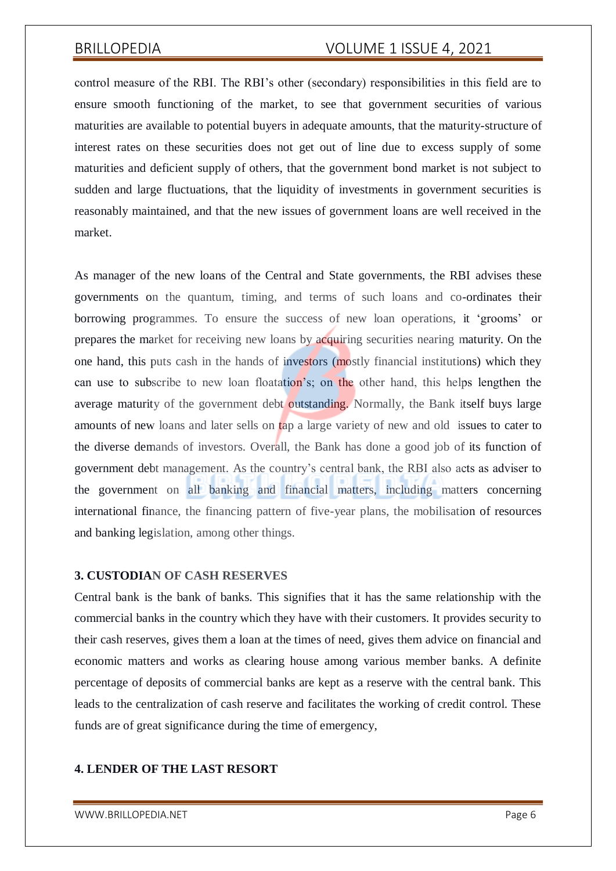control measure of the RBI. The RBI's other (secondary) responsibilities in this field are to ensure smooth functioning of the market, to see that government securities of various maturities are available to potential buyers in adequate amounts, that the maturity-structure of interest rates on these securities does not get out of line due to excess supply of some maturities and deficient supply of others, that the government bond market is not subject to sudden and large fluctuations, that the liquidity of investments in government securities is reasonably maintained, and that the new issues of government loans are well received in the market.

As manager of the new loans of the Central and State governments, the RBI advises these governments on the quantum, timing, and terms of such loans and co-ordinates their borrowing programmes. To ensure the success of new loan operations, it 'grooms' or prepares the market for receiving new loans by acquiring securities nearing maturity. On the one hand, this puts cash in the hands of investors (mostly financial institutions) which they can use to subscribe to new loan floatation's; on the other hand, this helps lengthen the average maturity of the government debt outstanding. Normally, the Bank itself buys large amounts of new loans and later sells on tap a large variety of new and old issues to cater to the diverse demands of investors. Overall, the Bank has done a good job of its function of government debt management. As the country's central bank, the RBI also acts as adviser to the government on all banking and financial matters, including matters concerning international finance, the financing pattern of five-year plans, the mobilisation of resources and banking legislation, among other things.

### **3. CUSTODIAN OF CASH RESERVES**

Central bank is the bank of banks. This signifies that it has the same relationship with the commercial banks in the country which they have with their customers. It provides security to their cash reserves, gives them a loan at the times of need, gives them advice on financial and economic matters and works as clearing house among various member banks. A definite percentage of deposits of commercial banks are kept as a reserve with the central bank. This leads to the centralization of cash reserve and facilitates the working of credit control. These funds are of great significance during the time of emergency,

### **4. LENDER OF THE LAST RESORT**

[WWW.BRILLOPEDIA.NET](http://www.brillopedia.net/)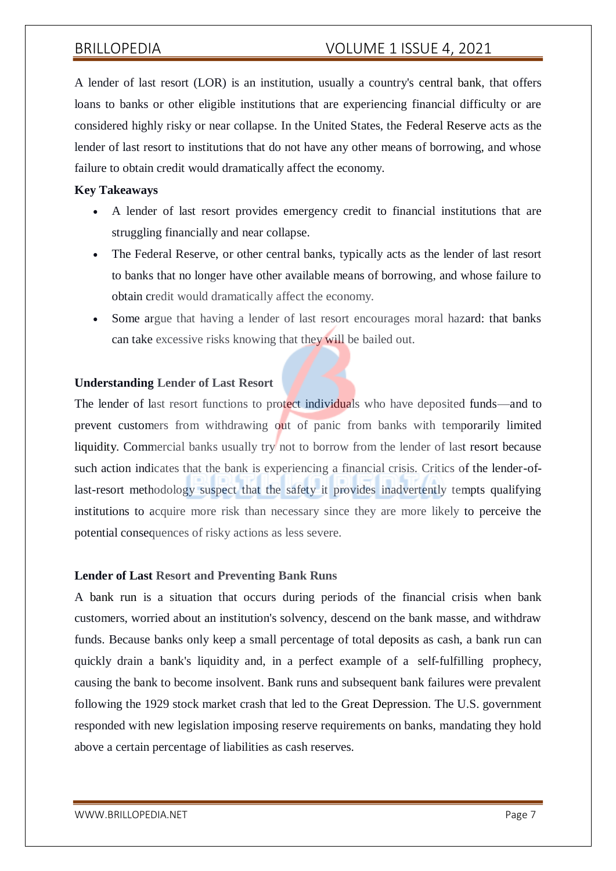A lender of last resort (LOR) is an institution, usually a country's central bank, that offers loans to banks or other eligible institutions that are experiencing financial difficulty or are considered highly risky or near collapse. In the United States, the Federal Reserve acts as the lender of last resort to institutions that do not have any other means of borrowing, and whose failure to obtain credit would dramatically affect the economy.

### **Key Takeaways**

- A lender of last resort provides emergency credit to financial institutions that are struggling financially and near collapse.
- The Federal Reserve, or other central banks, typically acts as the lender of last resort to banks that no longer have other available means of borrowing, and whose failure to obtain credit would dramatically affect the economy.
- Some argue that having a lender of last resort encourages moral hazard: that banks can take excessive risks knowing that they will be bailed out.

### **Understanding Lender of Last Resort**

The lender of last resort functions to protect individuals who have deposited funds—and to prevent customers from withdrawing out of panic from banks with temporarily limited liquidity. Commercial banks usually try not to borrow from the lender of last resort because such action indicates that the bank is experiencing a financial crisis. Critics of the lender-oflast-resort methodology suspect that the safety it provides inadvertently tempts qualifying institutions to acquire more risk than necessary since they are more likely to perceive the potential consequences of risky actions as less severe.

#### **Lender of Last Resort and Preventing Bank Runs**

A bank run is a situation that occurs during periods of the financial crisis when bank customers, worried about an institution's solvency, descend on the bank masse, and withdraw funds. Because banks only keep a small percentage of total deposits as cash, a bank run can quickly drain a bank's liquidity and, in a perfect example of a self-fulfilling prophecy, causing the bank to become insolvent. Bank runs and subsequent bank failures were prevalent following the 1929 stock market crash that led to the Great Depression. The U.S. government responded with new legislation imposing reserve requirements on banks, mandating they hold above a certain percentage of liabilities as cash reserves.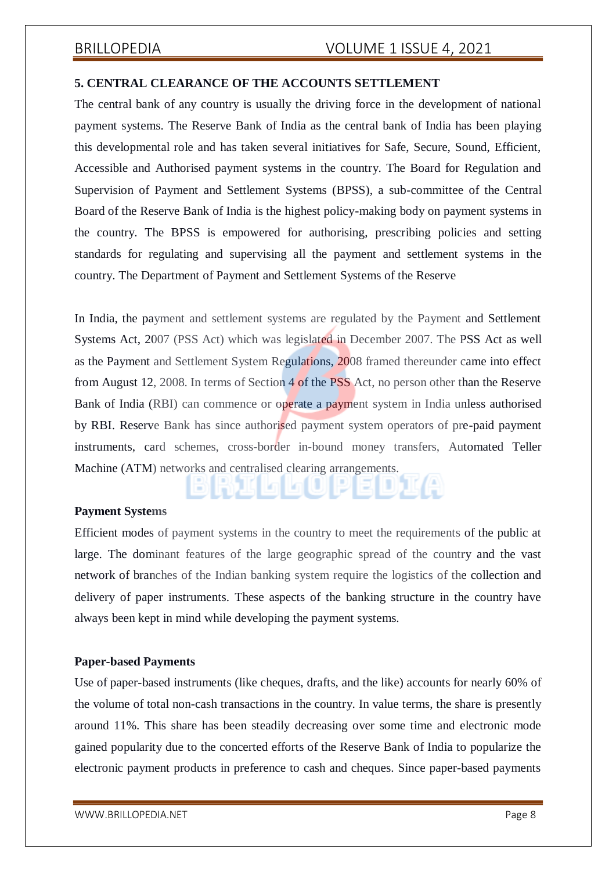### **5. CENTRAL CLEARANCE OF THE ACCOUNTS SETTLEMENT**

The central bank of any country is usually the driving force in the development of national payment systems. The Reserve Bank of India as the central bank of India has been playing this developmental role and has taken several initiatives for Safe, Secure, Sound, Efficient, Accessible and Authorised payment systems in the country. The Board for Regulation and Supervision of Payment and Settlement Systems (BPSS), a sub-committee of the Central Board of the Reserve Bank of India is the highest policy-making body on payment systems in the country. The BPSS is empowered for authorising, prescribing policies and setting standards for regulating and supervising all the payment and settlement systems in the country. The Department of Payment and Settlement Systems of the Reserve

In India, the payment and settlement systems are regulated by the Payment and Settlement Systems Act, 2007 (PSS Act) which was legislated in December 2007. The PSS Act as well as the Payment and Settlement System Regulations, 2008 framed thereunder came into effect from August 12, 2008. In terms of Section 4 of the PSS Act, no person other than the Reserve Bank of India (RBI) can commence or operate a payment system in India unless authorised by RBI. Reserve Bank has since authorised payment system operators of pre-paid payment instruments, card schemes, cross-border in-bound money transfers, Automated Teller Machine (ATM) networks and centralised clearing arrangements.

#### **Payment Systems**

Efficient modes of payment systems in the country to meet the requirements of the public at large. The dominant features of the large geographic spread of the country and the vast network of branches of the Indian banking system require the logistics of the collection and delivery of paper instruments. These aspects of the banking structure in the country have always been kept in mind while developing the payment systems.

### **Paper-based Payments**

Use of paper-based instruments (like cheques, drafts, and the like) accounts for nearly 60% of the volume of total non-cash transactions in the country. In value terms, the share is presently around 11%. This share has been steadily decreasing over some time and electronic mode gained popularity due to the concerted efforts of the Reserve Bank of India to popularize the electronic payment products in preference to cash and cheques. Since paper-based payments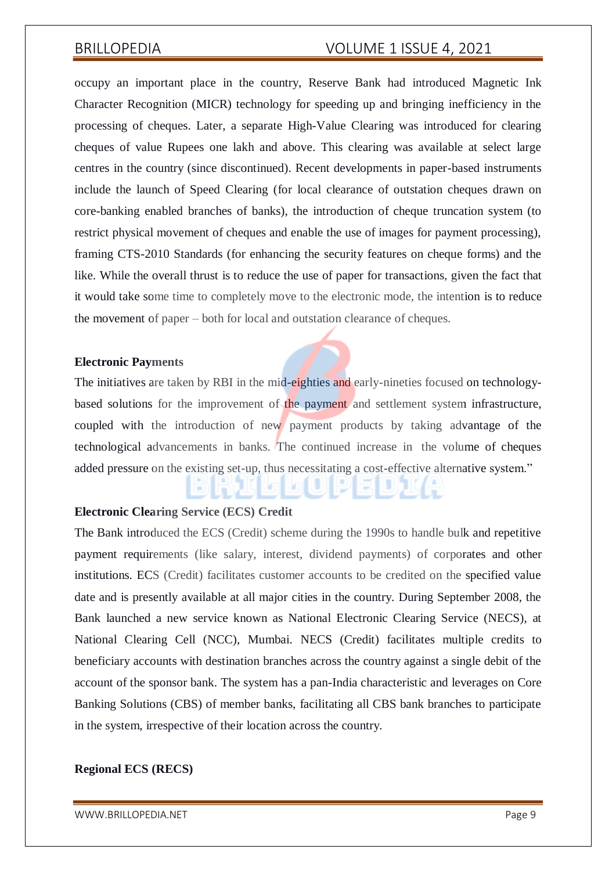occupy an important place in the country, Reserve Bank had introduced Magnetic Ink Character Recognition (MICR) technology for speeding up and bringing inefficiency in the processing of cheques. Later, a separate High-Value Clearing was introduced for clearing cheques of value Rupees one lakh and above. This clearing was available at select large centres in the country (since discontinued). Recent developments in paper-based instruments include the launch of Speed Clearing (for local clearance of outstation cheques drawn on core-banking enabled branches of banks), the introduction of cheque truncation system (to restrict physical movement of cheques and enable the use of images for payment processing), framing CTS-2010 Standards (for enhancing the security features on cheque forms) and the like. While the overall thrust is to reduce the use of paper for transactions, given the fact that it would take some time to completely move to the electronic mode, the intention is to reduce the movement of paper – both for local and outstation clearance of cheques.

#### **Electronic Payments**

The initiatives are taken by RBI in the mid-eighties and early-nineties focused on technologybased solutions for the improvement of the payment and settlement system infrastructure, coupled with the introduction of new payment products by taking advantage of the technological advancements in banks. The continued increase in the volume of cheques added pressure on the existing set-up, thus necessitating a cost-effective alternative system."

#### **Electronic Clearing Service (ECS) Credit**

The Bank introduced the ECS (Credit) scheme during the 1990s to handle bulk and repetitive payment requirements (like salary, interest, dividend payments) of corporates and other institutions. ECS (Credit) facilitates customer accounts to be credited on the specified value date and is presently available at all major cities in the country. During September 2008, the Bank launched a new service known as National Electronic Clearing Service (NECS), at National Clearing Cell (NCC), Mumbai. NECS (Credit) facilitates multiple credits to beneficiary accounts with destination branches across the country against a single debit of the account of the sponsor bank. The system has a pan-India characteristic and leverages on Core Banking Solutions (CBS) of member banks, facilitating all CBS bank branches to participate in the system, irrespective of their location across the country.

#### **Regional ECS (RECS)**

[WWW.BRILLOPEDIA.NET](http://www.brillopedia.net/)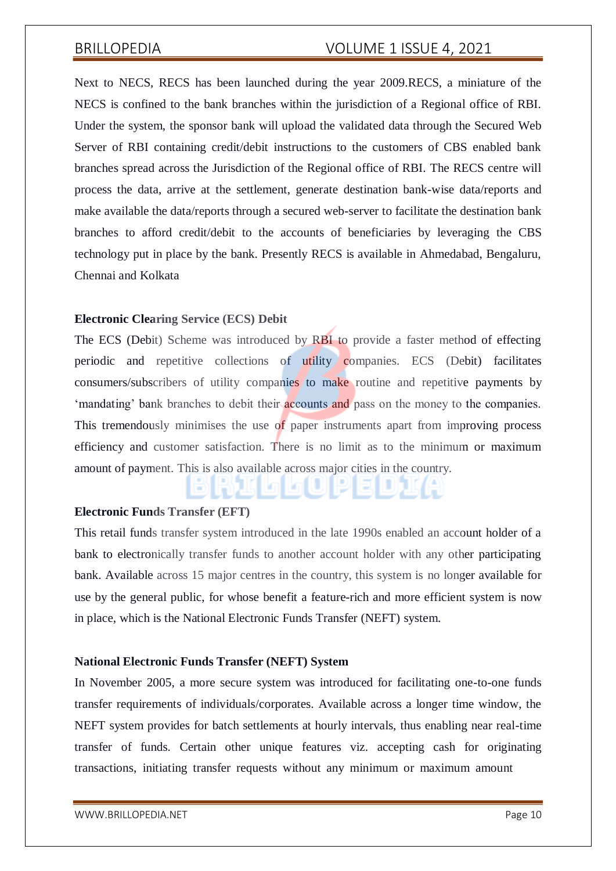Next to NECS, RECS has been launched during the year 2009.RECS, a miniature of the NECS is confined to the bank branches within the jurisdiction of a Regional office of RBI. Under the system, the sponsor bank will upload the validated data through the Secured Web Server of RBI containing credit/debit instructions to the customers of CBS enabled bank branches spread across the Jurisdiction of the Regional office of RBI. The RECS centre will process the data, arrive at the settlement, generate destination bank-wise data/reports and make available the data/reports through a secured web-server to facilitate the destination bank branches to afford credit/debit to the accounts of beneficiaries by leveraging the CBS technology put in place by the bank. Presently RECS is available in Ahmedabad, Bengaluru, Chennai and Kolkata

#### **Electronic Clearing Service (ECS) Debit**

The ECS (Debit) Scheme was introduced by RBI to provide a faster method of effecting periodic and repetitive collections of utility companies. ECS (Debit) facilitates consumers/subscribers of utility companies to make routine and repetitive payments by 'mandating' bank branches to debit their accounts and pass on the money to the companies. This tremendously minimises the use of paper instruments apart from improving process efficiency and customer satisfaction. There is no limit as to the minimum or maximum amount of payment. This is also available across major cities in the country.

#### **Electronic Funds Transfer (EFT)**

This retail funds transfer system introduced in the late 1990s enabled an account holder of a bank to electronically transfer funds to another account holder with any other participating bank. Available across 15 major centres in the country, this system is no longer available for use by the general public, for whose benefit a feature-rich and more efficient system is now in place, which is the National Electronic Funds Transfer (NEFT) system.

#### **National Electronic Funds Transfer (NEFT) System**

In November 2005, a more secure system was introduced for facilitating one-to-one funds transfer requirements of individuals/corporates. Available across a longer time window, the NEFT system provides for batch settlements at hourly intervals, thus enabling near real-time transfer of funds. Certain other unique features viz. accepting cash for originating transactions, initiating transfer requests without any minimum or maximum amount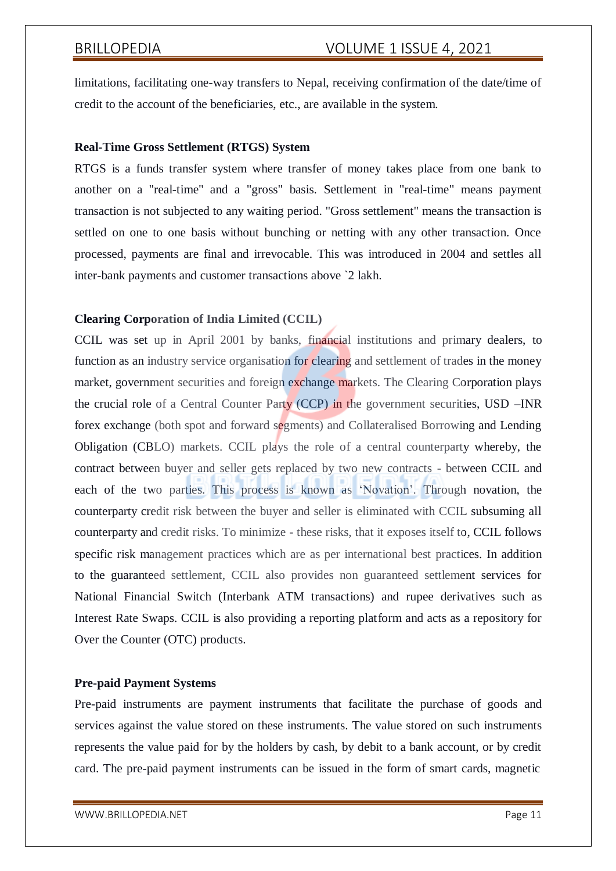limitations, facilitating one-way transfers to Nepal, receiving confirmation of the date/time of credit to the account of the beneficiaries, etc., are available in the system.

### **Real-Time Gross Settlement (RTGS) System**

RTGS is a funds transfer system where transfer of money takes place from one bank to another on a "real-time" and a "gross" basis. Settlement in "real-time" means payment transaction is not subjected to any waiting period. "Gross settlement" means the transaction is settled on one to one basis without bunching or netting with any other transaction. Once processed, payments are final and irrevocable. This was introduced in 2004 and settles all inter-bank payments and customer transactions above `2 lakh.

### **Clearing Corporation of India Limited (CCIL)**

CCIL was set up in April 2001 by banks, financial institutions and primary dealers, to function as an industry service organisation for clearing and settlement of trades in the money market, government securities and foreign exchange markets. The Clearing Corporation plays the crucial role of a Central Counter Party (CCP) in the government securities, USD –INR forex exchange (both spot and forward segments) and Collateralised Borrowing and Lending Obligation (CBLO) markets. CCIL plays the role of a central counterparty whereby, the contract between buyer and seller gets replaced by two new contracts - between CCIL and each of the two parties. This process is known as 'Novation'. Through novation, the counterparty credit risk between the buyer and seller is eliminated with CCIL subsuming all counterparty and credit risks. To minimize - these risks, that it exposes itself to, CCIL follows specific risk management practices which are as per international best practices. In addition to the guaranteed settlement, CCIL also provides non guaranteed settlement services for National Financial Switch (Interbank ATM transactions) and rupee derivatives such as Interest Rate Swaps. CCIL is also providing a reporting platform and acts as a repository for Over the Counter (OTC) products.

#### **Pre-paid Payment Systems**

Pre-paid instruments are payment instruments that facilitate the purchase of goods and services against the value stored on these instruments. The value stored on such instruments represents the value paid for by the holders by cash, by debit to a bank account, or by credit card. The pre-paid payment instruments can be issued in the form of smart cards, magnetic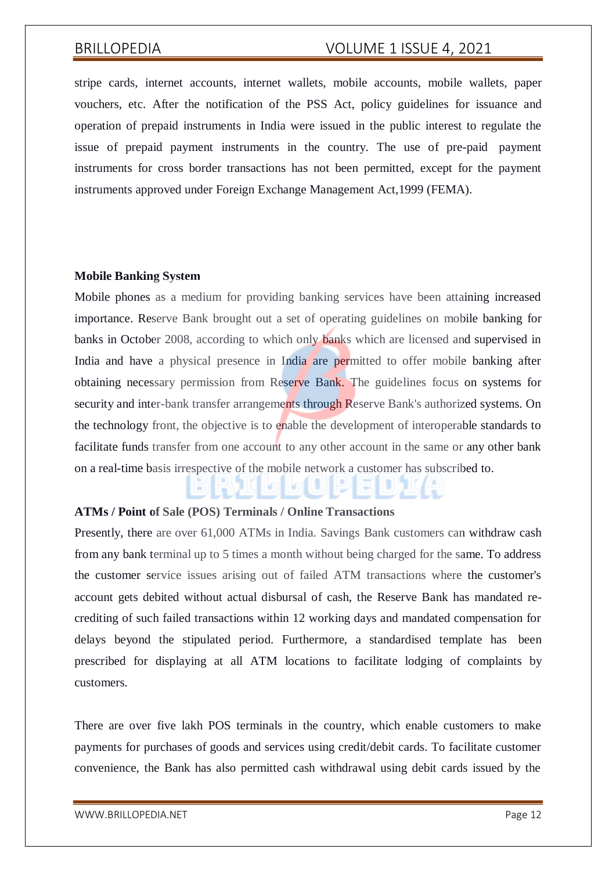stripe cards, internet accounts, internet wallets, mobile accounts, mobile wallets, paper vouchers, etc. After the notification of the PSS Act, policy guidelines for issuance and operation of prepaid instruments in India were issued in the public interest to regulate the issue of prepaid payment instruments in the country. The use of pre-paid payment instruments for cross border transactions has not been permitted, except for the payment instruments approved under Foreign Exchange Management Act,1999 (FEMA).

#### **Mobile Banking System**

Mobile phones as a medium for providing banking services have been attaining increased importance. Reserve Bank brought out a set of operating guidelines on mobile banking for banks in October 2008, according to which only banks which are licensed and supervised in India and have a physical presence in India are permitted to offer mobile banking after obtaining necessary permission from Reserve Bank. The guidelines focus on systems for security and inter-bank transfer arrangements through Reserve Bank's authorized systems. On the technology front, the objective is to enable the development of interoperable standards to facilitate funds transfer from one account to any other account in the same or any other bank on a real-time basis irrespective of the mobile network a customer has subscribed to.

### **ATMs / Point of Sale (POS) Terminals / Online Transactions**

Presently, there are over 61,000 ATMs in India. Savings Bank customers can withdraw cash from any bank terminal up to 5 times a month without being charged for the same. To address the customer service issues arising out of failed ATM transactions where the customer's account gets debited without actual disbursal of cash, the Reserve Bank has mandated recrediting of such failed transactions within 12 working days and mandated compensation for delays beyond the stipulated period. Furthermore, a standardised template has been prescribed for displaying at all ATM locations to facilitate lodging of complaints by customers.

There are over five lakh POS terminals in the country, which enable customers to make payments for purchases of goods and services using credit/debit cards. To facilitate customer convenience, the Bank has also permitted cash withdrawal using debit cards issued by the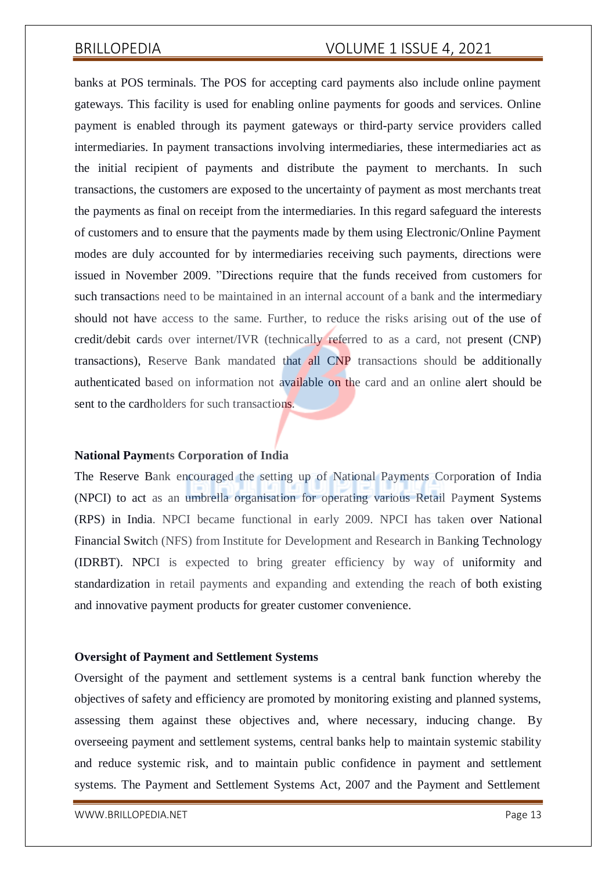banks at POS terminals. The POS for accepting card payments also include online payment gateways. This facility is used for enabling online payments for goods and services. Online payment is enabled through its payment gateways or third-party service providers called intermediaries. In payment transactions involving intermediaries, these intermediaries act as the initial recipient of payments and distribute the payment to merchants. In such transactions, the customers are exposed to the uncertainty of payment as most merchants treat the payments as final on receipt from the intermediaries. In this regard safeguard the interests of customers and to ensure that the payments made by them using Electronic/Online Payment modes are duly accounted for by intermediaries receiving such payments, directions were issued in November 2009. "Directions require that the funds received from customers for such transactions need to be maintained in an internal account of a bank and the intermediary should not have access to the same. Further, to reduce the risks arising out of the use of credit/debit cards over internet/IVR (technically referred to as a card, not present (CNP) transactions), Reserve Bank mandated that all CNP transactions should be additionally authenticated based on information not available on the card and an online alert should be sent to the cardholders for such transactions.

#### **National Payments Corporation of India**

The Reserve Bank encouraged the setting up of National Payments Corporation of India (NPCI) to act as an umbrella organisation for operating various Retail Payment Systems (RPS) in India. NPCI became functional in early 2009. NPCI has taken over National Financial Switch (NFS) from Institute for Development and Research in Banking Technology (IDRBT). NPCI is expected to bring greater efficiency by way of uniformity and standardization in retail payments and expanding and extending the reach of both existing and innovative payment products for greater customer convenience.

#### **Oversight of Payment and Settlement Systems**

Oversight of the payment and settlement systems is a central bank function whereby the objectives of safety and efficiency are promoted by monitoring existing and planned systems, assessing them against these objectives and, where necessary, inducing change. By overseeing payment and settlement systems, central banks help to maintain systemic stability and reduce systemic risk, and to maintain public confidence in payment and settlement systems. The Payment and Settlement Systems Act, 2007 and the Payment and Settlement

[WWW.BRILLOPEDIA.NET](http://www.brillopedia.net/) Page 13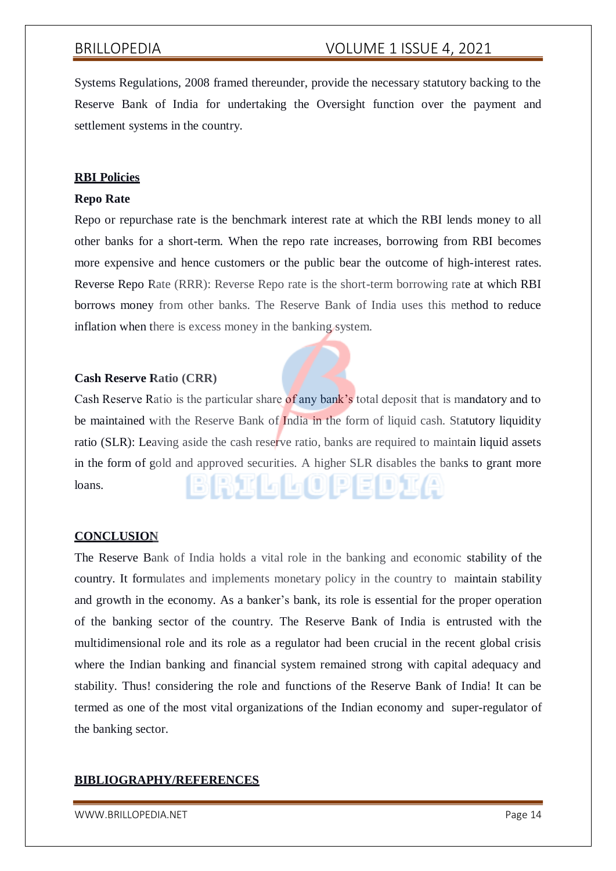Systems Regulations, 2008 framed thereunder, provide the necessary statutory backing to the Reserve Bank of India for undertaking the Oversight function over the payment and settlement systems in the country.

#### **RBI Policies**

#### **Repo Rate**

Repo or repurchase rate is the benchmark interest rate at which the RBI lends money to all other banks for a short-term. When the repo rate increases, borrowing from RBI becomes more expensive and hence customers or the public bear the outcome of high-interest rates. Reverse Repo Rate (RRR): Reverse Repo rate is the short-term borrowing rate at which RBI borrows money from other banks. The Reserve Bank of India uses this method to reduce inflation when there is excess money in the banking system.

#### **Cash Reserve Ratio (CRR)**

Cash Reserve Ratio is the particular share of any bank's total deposit that is mandatory and to be maintained with the Reserve Bank of India in the form of liquid cash. Statutory liquidity ratio (SLR): Leaving aside the cash reserve ratio, banks are required to maintain liquid assets in the form of gold and approved securities. A higher SLR disables the banks to grant more BRILLOPEDIA loans.

#### **CONCLUSION**

The Reserve Bank of India holds a vital role in the banking and economic stability of the country. It formulates and implements monetary policy in the country to maintain stability and growth in the economy. As a banker's bank, its role is essential for the proper operation of the banking sector of the country. The Reserve Bank of India is entrusted with the multidimensional role and its role as a regulator had been crucial in the recent global crisis where the Indian banking and financial system remained strong with capital adequacy and stability. Thus! considering the role and functions of the Reserve Bank of India! It can be termed as one of the most vital organizations of the Indian economy and super-regulator of the banking sector.

#### **BIBLIOGRAPHY/REFERENCES**

[WWW.BRILLOPEDIA.NET](http://www.brillopedia.net/) Page 14